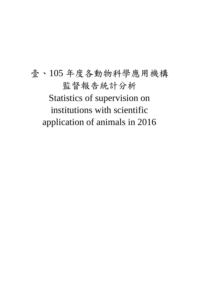壹、105 年度各動物科學應用機構 監督報告統計分析 Statistics of supervision on institutions with scientific application of animals in 2016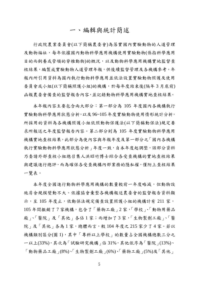# 一、編輯與統計簡述

行政院農業委員會(以下簡稱農委會)為落實國內實驗動物的人道管理 及動物福祉,每年依據國內動物科學應用機構使用實驗動物(係指科學應用 目的而飼養或管領的脊椎動物)的概況,以及動物科學應用機構實地監督查 核結果,編製成實驗動物人道管理年報,供後續監督管理及各機構參考。年 報內所引用資料為國內執行動物科學應用並依法設置實驗動物照護及使用 委員會或小組(以下簡稱照護小組)的機構,於每年度結束後(隔年3月底前) 函報農委會備查的監督報告內容,並記錄動物科學應用機構實地查核結果。

本年報內容主要包含兩大部分:第一部分為 105 年度國內各機構執行 實驗動物科學應用狀態分析,以及 96~105 年度實驗動物使用情形統計分析, 所採用的資料為各機構照護小組依照動物保護法(以下簡稱動保法)規定要 求所報送之年度監督報告內容。第二部分則為 105 年度實驗動物科學應用 機構實地查核結果,此部分為使內容與年報年度及第一部分之「國內各機構 執行實驗動物科學應用狀態分析 | 年度一致, 自本年度起調整, 該部分資料 乃委請外部查核小組總召集人洪昭竹博士綜合各受查機構的實地查核結果 與建議進行總評,而為確保各受查機構內部業務的隱私權,僅附上查核結果 一覽表。

本年度全國進行動物科學應用機構的數量較前一年度略減,但動物設 施房舍規模變動不大。依據協會彙整各機構報送農委會的監督報告資料顯 示,至 105年度止,依動保法規定備查設置照護小組的機構計有 211 家, 105年間撤銷了7家機構,包含了「藥物工廠」2家,「學校」、「動物用藥品 廠」、「醫院」及「其他」各佔 1 家;而增加了 3 家,「生物製劑工廠」、「醫 院」及「其他」各為1家,總體而言,較104年度之215家少了4家。若以 機構類別區分(圖1),其中「專科以上學校」的數量占全國機構總數三分之 一以上(33%),其次為「試驗研究機構」佔 31%,其他依序為「醫院」(13%)、 「動物藥品工廠」(8%)、「生物製劑工廠」(6%)、「藥物工廠」(5%)及「其他」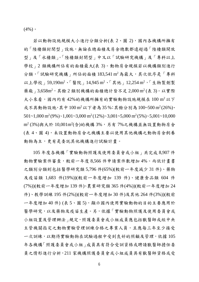$(4\%)$ 

若以動物設施規模大小進行分類分析(表 2、圖 2),國內各機構所擁有 的「陸棲類封閉型」設施,無論在總面積及房舍總數都遠超過「陸棲類開放 型」及「水棲類」。「陸棲類封閉型」中又以「試驗研究機構」及「專科以上 學校 | 2 類機構所佔有的面積最大(表 3)。動物房舍規模若以機構類別進行 分類,「試驗研究機構」所佔的面積 183,541 m2為最大,其次依序是「專科 以上學校 | 59,190m<sup>2、「</sup>醫院 | 14,945 m<sup>2、「</sup>其他 | 12,254 m<sup>2,「</sup>生物製劑製 藥廠」3,658m<sup>2,</sup>其餘 2 類別機構的面積總計皆不足 2,000 m<sup>2</sup> (表 3)。以實際 大小來看,國內約有 42%的機構所擁有的實驗動物設施規模在 100 m<sup>2</sup> 以下 或不具動物設施,其中100m<sup>2</sup>以下者為35%;其餘分別為100~500m<sup>2</sup>(26%)、 501~1,000 m<sup>2</sup> (9%) \cdot 1,001~3,000 m<sup>2</sup> (12%) \cdot 3,001~5,000 m<sup>2</sup> (5%) \cdot 5,001~10,000 m<sup>2</sup> (3%)與大於 10,001m<sup>2</sup>(含)的機構 3%, 另有 7%之機構並無設置動物房舍 (表 4、圖 4),未設置動物房舍之機構主要以使用其他機構之動物房舍飼養 動物為主,更有是委託其他機構進行試驗計書。

105 年度各機構「實驗動物照護及使用委員會或小組」共完成 8,907 件 動物實驗案件審查,較前一年度 8,566 件申請案件數增加 4%。而依計畫書 之類別分類則包括醫學研究類 5,796 件(65%)(較前ㄧ年度減少 31 件)、藥物 及疫苗類 1,683 件(19%))(較前ㄧ年度增加 139 件)、健康食品類 604 件 (7%))(較前ㄧ年度增加 139 件)、農業研究類 365 件(4%))(較前ㄧ年度增加 24 件)、教學訓練 195 件(2%))(較前ㄧ年度增加 30 件)及其他 264 件(3%))(較前 ㄧ年度增加 40 件) (表 5、圖 5),顯示國內使用實驗動物的目的主要應用於 醫學研究,以及藥物及疫苗生產。另,依據「實驗動物照護及使用委員會或 小組設置及管理辦法 |規定,照護委員會或小組成員應包括獸醫師或經中央 主管機關指定之動物實驗管理訓練合格之專業人員,且應每三年至少接受 一次訓練,以期待實驗動物在試驗過程中受到良好的照顧及管理,依據 105 年各機構「照護委員會或小組」成員具有符合受訓資格或聘請獸醫師擔任委 員之情形進行分析,211 家機構照護委員會或小組成員具有獸醫師資格或受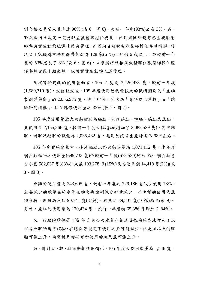訓合格之專業人員者達 96% (表 6、圖 6),較前ㄧ年度(93%)成長 3%。另, 雖然國內未規定一定要配置獸醫師擔任委員,但目前國際趨勢已重視獸醫 師參與實驗動物照護使用與管理,而國內目前聘有獸醫師擔任委員情形,發 現 211 家機構中聘有獸醫師者為 128 家(61%), 約佔 6 成以上, 亦較前一年 度的 53%成長了 8% (表 6、圖 6),未來將持續推廣機構聘任獸醫師擔任照 護委員會或小組成員,以落實實驗動物人道管理。

而就實驗動物的使用量而言, 105 年度為 3,226,978 隻,較前一年度 (1,589,310 隻),成倍數成長,105 年度使用動物量較大的機構類別為「生物 製劑製藥廠」的 2,056,975 隻,佔了64%,其次為「專科以上學校」及「試 驗研究機構」,佔了總體使用量之 33% (表 7、圖 7)。

105 年度使用量最大的動物別為胚胎,包括雞胚、鴨胚、鵝胚及魚胚, 共使用了 2,155,866 隻,較前一年度大幅增加(增加了 2,082,529 隻)。其中雞 胚、鴨胚及鵝胚的數量為 2,035,432 售,應用於疫苗生產計書佔 98%左右。

105 年度實驗動物中,使用胚胎以外的動物量為 1,071,112 隻, 本年度 囓齒類動物之使用量(699,733 隻)僅較前ㄧ年度(678,520)增加 3%,囓齒類包 含小鼠 582,037 隻(83%)、大鼠 103,278 隻(15%)及其他鼠類 14,418 隻(2%)(表 8、圖 8)。

魚類的使用量為 243,605 隻,較前一年度之 729,186 隻減少使用 73%, 主要減少的數量在於水質生物急毒性測試分析量減少,而魚類的使用依魚 種分析,則斑馬魚佔 90,741 隻(37%)、鯉魚佔 39,501 隻(16%)為主(表 9)。 另外,魚胚的使用量為 120,434 隻,較前一年度的 65,386 隻增加了 84%。

又,行政院環保署 106 年 3 月公告水質生物急毒性檢驗方法增加了以 斑馬魚胚胎進行試驗,在環保署規定下使用之魚可能減少,但是斑馬魚的胚 胎可能上升,而整體基礎研究所使用的斑馬魚可能上升。

另,針對犬、貓、猿猴動物使用情形,105 年度犬使用數量為 1,848 隻,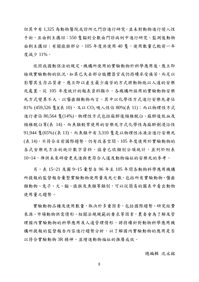但其中有 1,325 為動物醫院或診所之門診進行研究,並未對動物進行侵入性 手術,且由飼主攜回;550隻貓則全數由門診病例中進行研究,監測後動物 由飼主攜回;有關猿猴部分,105年度共使用40隻,使用數量已較前一年 度減少 11%。

依照我國動保法的規定,機構所使用的實驗動物於科學應用後,應立即 檢視實驗動物的狀況,如其已失去部分肢體器官或仍持續承受痛苦,而足以 影響其生存品質者,應立即以產生最少痛苦的方式將動物施以人道的安樂 死處置。從 105 年度統計的報表資料顯示,各機構所採用的實驗動物安樂 死方式變異不大,以囓齒類動物而言,其中以化學性方式進行安樂死者佔  $81\%$  (459,526 隻)(表 10), 又以 CO<sub>2</sub> 吸入性佔 80%(表 11); 而以物理性方式 進行者佔 80,564 隻(14%),物理性方式包括麻醉後頸椎脫臼、麻醉後放血及 頸椎脫臼等(表 14)。而魚類較常使用的安樂死方式化學性為麻醉劑浸浴性 91,944 隻(65%) (表 13),而魚類中有 3,310 隻是以物理性冰凍法進行安樂死 (表 14),不符合目前國際趨勢,仍有改善空間。105 年度使用於實驗動物的 各式安樂死方法的統計數字資料,協會已依類別分項統計,並列於附表 10~14,俾供未來研發更先進與更符合人道及動物福祉的安樂死的參考。

另,表 15~21 及圖 9~15 彙整自 96 年至 105 年間各動物科學應用機構 所提報的監督報告警驗動物使用量及死亡數,包括所有實驗動物、醫齒 類動物、兔子、犬、貓、猿猴及魚類等類別,可以從簡易的圖表中看出動物 使用量之趨勢。

實驗動物品種及使用數量,取決於多重因素,包括國際趨勢、研究經費 來源、市場動物供需情形、相關法規規範的要求等因素,農委會為了解及管 理國內實驗動物的科學應用及人道管理情形,將持續針對動物科學應用機 構所提報的監督報告內容進行趨勢分析,以了解國內實驗動物的應用是否 以符合實驗動物 3R 精神、並增進動物福祉的推廣成效。

總編輯 沈永銘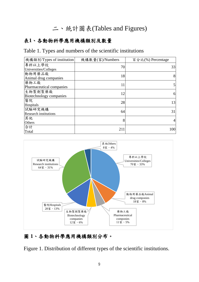# 二、統計圖表(Tables and Figures)

# 表**1**、各動物科學應用機構類別及數量

#### Table 1. Types and numbers of the scientific institutions

| 機構類別/Types of institution              | 機構數量(家)/Numbers | 百分比(%) Percentage |
|----------------------------------------|-----------------|-------------------|
| 專科以上學校<br>Universities/Colleges        | 70              | 33                |
| 動物用藥品廠<br>Animal drug companies        | 18              | 8                 |
| 藥物工廠<br>Pharmaceutical companies       | 11              | $\mathsf{S}$      |
| 生物製劑製藥廠<br>Biotechnology companies     | 12              | 6                 |
| 醫院<br>Hospitals                        | 28              | 13                |
| 試驗研究機構<br><b>Research institutions</b> | 64              | 31                |
| 其他<br>Others                           | 8               | 4                 |
| 合計<br>Total                            | 211             | 100               |



# 圖 **1**、各動物科學應用機構類別分布。

Figure 1. Distribution of different types of the scientific institutions.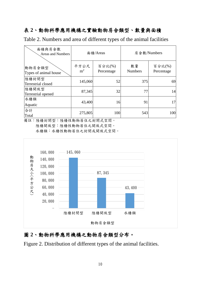# 表 **2**、動物科學應用機構之實驗動物房舍類型、數量與面積

Table 2. Numbers and area of different types of the animal facilities

| 面積與房舍數<br>Areas and Numbers     |                        | 面積/Areas             | 房舍數/Numbers          |                      |  |  |
|---------------------------------|------------------------|----------------------|----------------------|----------------------|--|--|
| 動物房舍類型<br>Types of animal house | 平方公尺<br>m <sup>2</sup> | 百分比(%)<br>Percentage | 數量<br><b>Numbers</b> | 百分比(%)<br>Percentage |  |  |
| 陸棲封閉型<br>Terrestrial closed     | 145,060                | 52                   | 375                  | 69                   |  |  |
| 陸棲開放型<br>Terrestrial opened     | 87,345                 | 32                   | 77                   | 14                   |  |  |
| 水棲類<br>Aquatic                  | 43,400                 | 16                   | 91                   | 17                   |  |  |
| 合計<br>Total                     | 275,805                | 100                  | 543                  | <b>100</b>           |  |  |

備註:陸棲封閉型:陸棲性動物居住之封閉式空間。

陸棲開放型:陸棲性動物居住之開放式空間。

水棲類:水棲性動物居住之封閉或開放式空間。



# 圖 **2**、動物科學應用機構之動物房舍類型分布。

Figure 2. Distribution of different types of the animal facilities.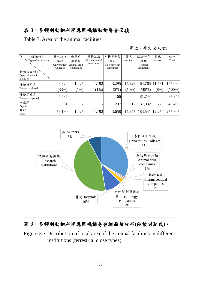# 表 **3**、各類別動物科學應用機構動物房舍面積

Table 3. Area of the animal facilities

單位:平方公尺/ $m^2$ 

| 機構類別                          | 專科以上          | 動物用         | 藥物工廠           | 生物製劑製         | 醫院        | 試驗研究           | 其他            | 合計        |
|-------------------------------|---------------|-------------|----------------|---------------|-----------|----------------|---------------|-----------|
| Type of institutions          | 學校            | 藥品廠         | Pharmaceutical | 藥廠            | Hospitals | 機構             | Others        | Total     |
|                               | Universities/ | Animal drug | companies      | Biotechnology |           | Research       |               |           |
|                               | Colleges      | companies   |                | companies     |           | institutions   |               |           |
| 動物房舍類別                        |               |             |                |               |           |                |               |           |
| Types of animal<br>facilities |               |             |                |               |           |                |               |           |
| 陸棲封閉式                         | 48,324        | 1,025       | 1,192          | 3,295         | 14,928    |                | 64,765 11,531 | 145,060   |
| Terrestrial closed            | (33%)         | $(1\%)$     | (1%)           | $(2\%)$       | $(10\%)$  | (45%)          | $(8\%)$       | $(100\%)$ |
| 陸棲開放式<br>Terrestrial opened   | 5,535         |             |                | 66            |           | 81,744         |               | 87,345    |
| 水棲類                           |               |             |                |               |           |                |               |           |
| Aquatic                       | 5,331         |             |                | 297           | 17        | 37,032         | 723           | 43,400    |
| 合計<br>Total                   | 59,190        | 1,025       | 1,192          | 3,658         | 14,945    | 183,541 12,254 |               | 275,805   |



# 圖 **3**、各類別動物科學應用機構房舍總面積分布**(**陸棲封閉式**)**。

Figure 3、Distribution of total area of the animal facilities in different institutions (terrestrial close types).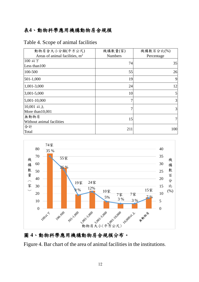# 表**4**、動物科學應用機構動物房舍規模

| 動物房舍大小分類(平方公尺)                   | 機構數量(家)        | 機構數百分比(%)  |
|----------------------------------|----------------|------------|
| Areas of animal facilities, $m2$ | <b>Numbers</b> | Percentage |
| 100 以下                           | 74             | 35         |
| Less than 100                    |                |            |
| 100-500                          | 55             | 26         |
| $501-1,000$                      | 19             | 9          |
| 1,001-3,000                      | 24             | 12         |
| $3,001 - 5,000$                  | 10             | 5          |
| $5,001-10,000$                   | 7              | 3          |
| 10,001 以上                        | 7              | 3          |
| More than 10,001                 |                |            |
| 無動物房                             | 15             |            |
| Without animal facilities        |                |            |
| 合計                               | 211            | 100        |
| Total                            |                |            |

Table 4. Scope of animal facilities



# 圖 **4**、動物科學應用機構動物房舍規模分布。

Figure 4. Bar chart of the area of animal facilities in the institutions.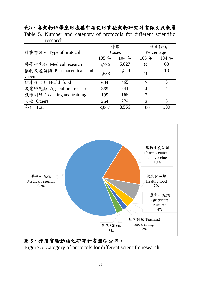# 表**5**、各動物科學應用機構申請使用實驗動物研究計畫類別及數量 Table 5. Number and category of protocols for different scientific

| research.                   |       |       |                |                |  |  |  |
|-----------------------------|-------|-------|----------------|----------------|--|--|--|
|                             |       | 件數    |                | 百分比(%),        |  |  |  |
| 計畫書類別 Type of protocol      |       | Cases | Percentage     |                |  |  |  |
|                             | 105 年 | 104年  | 105年           | 104年           |  |  |  |
| 醫學研究類 Medical research      | 5,796 | 5,827 | 65             | 68             |  |  |  |
| 藥物及疫苗類 Pharmaceuticals and  | 1,683 | 1,544 | 19             | 18             |  |  |  |
| vaccine                     |       |       |                |                |  |  |  |
| 健康食品類 Health food           | 604   | 465   | 7              | 5              |  |  |  |
| 農業研究類 Agricultural research | 365   | 341   | $\overline{4}$ | $\overline{4}$ |  |  |  |
| 教學訓練 Teaching and training  | 195   | 165   | $\overline{2}$ | $\overline{2}$ |  |  |  |
| 其他 Others                   | 264   | 224   | 3              | 3              |  |  |  |
| 合計 Total                    | 8,907 | 8,566 | 100            | 100            |  |  |  |



# 圖 **5**、使用實驗動物之研究計畫類型分布。

Figure 5. Category of protocols for different scientific research.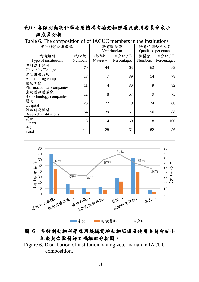# 表**6**、各類別動物科學應用機構實驗動物照護及使用委員會或小 組成員分析

| 動物科學應用機構                               |                |                | 聘有獸醫師        | 聘有受訓合格人員            |             |  |  |
|----------------------------------------|----------------|----------------|--------------|---------------------|-------------|--|--|
|                                        |                |                | Veterinarian | Qualified personnal |             |  |  |
| 機構類別                                   | 機構數            | 機構數            | 百分比(%)       | 機構數                 | 百分比(%)      |  |  |
| Type of institutions                   | <b>Numbers</b> | <b>Numbers</b> | Percentages  | <b>Numbers</b>      | Percentages |  |  |
| 專科以上學校<br>University/College           | 70             | 44             | 63           | 62                  | 89          |  |  |
| 動物用藥品廠<br>Animal drug companies        | 18             | 7              | 39           | 14                  | 78          |  |  |
| 藥物工廠<br>Pharmaceutical companies       | 11             | 4              | 36           | 9                   | 82          |  |  |
| 生物製劑製藥廠<br>Biotechnology companies     | 12             | 8              | 67           | 9                   | 75          |  |  |
| 醫院<br>Hospital                         | 28             | 22             | 79           | 24                  | 86          |  |  |
| 試驗研究機構<br><b>Research institutions</b> | 64             | 39             | 61           | 56                  | 88          |  |  |
| 其他<br>Others                           | 8              | $\overline{4}$ | 50           | 8                   | 100         |  |  |
| 合計<br>Total                            | 211            | 128            | 61           | 182                 | 86          |  |  |

Table 6. The composition of of IACUC members in the institutions



# 圖 **6**、各類別動物科學應用機構實驗動物照護及使用委員會或小 組成員含獸醫師之機構數分析圖。

Figure 6. Distribution of institution having veterinarian in IACUC composition.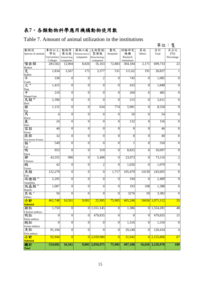# 表**7**、各類動物科學應用機構動物使用數

# Table 7. Amount of animal utilization in the institutions

|                               |                 |                  |                  |                  |                  |                  |                  | 單位:              | 隻                |
|-------------------------------|-----------------|------------------|------------------|------------------|------------------|------------------|------------------|------------------|------------------|
| 動物別                           | 專科以上            | 動物用              | 藥物工廠             | 生物製劑             | 醫院               | 試驗研究             | 其他               | 合計               | 百分比              |
| Species of animals            | 學校              | 藥品廠              | Pharmaceutical   | 製藥廠              | Hospitals        | 機構               | Others           | Total            | (% )             |
|                               | Universities/   | Animal drug      | companies        | Biotechnology    |                  | Research         |                  |                  | Percentage       |
|                               | Colleges        | companies        |                  | companies        |                  | institutions     |                  |                  |                  |
| 囓齒類                           | 283,502         | 12,004           | 8,826            | 16,163           | 72,883           | 304,184          | 2,171            | 699,733          | $\overline{22}$  |
| Rodent                        |                 |                  |                  |                  |                  |                  |                  |                  |                  |
| 兔                             | 1,834           | 3,567            | 175              | 3,377            | 531              | 111,62           | 191              | 20,837           |                  |
| Rabbit                        | 338             | $\overline{0}$   | $\overline{0}$   | $\overline{2}$   | $\overline{0}$   | 745              | 0                | 1,085            | $\theta$         |
| 牛<br>Cattle                   |                 |                  |                  |                  |                  |                  |                  |                  |                  |
| $\mathcal{K}^{\,A}$           | 1,415           | $\overline{0}$   | $\boldsymbol{0}$ | $\overline{0}$   | $\boldsymbol{0}$ | 433              | 0                | 1,848            | $\theta$         |
|                               |                 |                  |                  |                  |                  |                  |                  |                  |                  |
| $\frac{\text{Dog}}{\text{#}}$ | 210             | $\overline{0}$   | $\overline{0}$   | $\overline{0}$   | $\overline{0}$   | 269              | 6                | 485              | $\overline{0}$   |
| Sheep/Goat                    |                 |                  |                  |                  |                  |                  |                  |                  |                  |
| 鳥類                            | 2,396           | $\overline{0}$   | $\boldsymbol{0}$ | $\overline{0}$   | $\mathbf{0}$     | $\overline{215}$ | $\boldsymbol{0}$ | 2,611            | $\overline{0}$   |
| <b>Bird</b>                   |                 |                  |                  |                  |                  |                  |                  |                  |                  |
| 豬                             | 1,131           | $\overline{0}$   | $\boldsymbol{0}$ | 634              | 774              | 5,981            | 0                | 8,520            | $\boldsymbol{0}$ |
|                               |                 |                  |                  |                  |                  |                  |                  |                  |                  |
| Pig<br>馬                      | 4               | 0                | $\boldsymbol{0}$ | $\overline{0}$   | $\mathbf{0}$     | 50               | $\overline{0}$   | 54               | $\mathbf{0}$     |
| Horse                         |                 |                  |                  |                  |                  |                  |                  |                  |                  |
| 鹿                             | $\overline{24}$ | $\overline{0}$   | $\boldsymbol{0}$ | $\boldsymbol{0}$ | $\overline{0}$   | 132              | 0                | 156              | $\overline{0}$   |
| Deer                          |                 |                  |                  |                  |                  |                  |                  |                  |                  |
| 雪貂                            | $\overline{46}$ | $\overline{0}$   | $\overline{0}$   | $\overline{0}$   | $\overline{0}$   | $\overline{0}$   | 0                | 46               | $\theta$         |
| Ferret                        |                 |                  |                  |                  |                  |                  |                  |                  |                  |
| 猿猴                            | 32              | $\overline{0}$   | $\mathbf{0}$     | $\overline{0}$   | $\mathbf{0}$     | $\overline{8}$   | $\overline{0}$   | 40               | $\overline{0}$   |
| Non-human Primate<br>貓℃       | 549             | $\boldsymbol{0}$ | $\boldsymbol{0}$ | $\overline{0}$   | $\overline{0}$   | 1                | $\boldsymbol{0}$ | 550              |                  |
| Cat                           |                 |                  |                  |                  |                  |                  |                  |                  | $\boldsymbol{0}$ |
| 鴨                             | 953             | $\theta$         | 0                | 319              | $\overline{0}$   | 8,825            | $\overline{0}$   | 10,097           | $\overline{0}$   |
| Duck                          |                 |                  |                  |                  |                  |                  |                  |                  |                  |
| 雞                             | 43,555          | 990              | $\overline{0}$   | 5,498            | $\overline{0}$   | 23,073           | $\theta$         | 73,116           | $\overline{c}$   |
| Chicken                       |                 |                  |                  |                  |                  |                  |                  |                  |                  |
| 鵝                             | 42              | $\mathbf{0}$     | $\boldsymbol{0}$ | $\overline{2}$   | $\mathbf{0}$     | 1,026            | $\theta$         | 1,070            | $\mathbf{0}$     |
| Goose                         |                 |                  |                  |                  |                  |                  |                  |                  |                  |
| 魚類                            | 122,279         | $\overline{0}$   | $\boldsymbol{0}$ | $\overline{0}$   | 1,717            | 105,479          | 14130            | 243,605          | 8                |
| Fish                          |                 |                  |                  |                  |                  |                  |                  |                  |                  |
| D<br>兩棲類                      | 2,295           | $\boldsymbol{0}$ | $\overline{0}$   | $\overline{0}$   | $\boldsymbol{0}$ | 194              | $\mathbf{0}$     | 2,489            | $\overline{0}$   |
| Amphibia<br>E                 |                 |                  |                  |                  |                  |                  |                  |                  |                  |
| 爬蟲類                           | 1,087           | $\overline{0}$   | $\boldsymbol{0}$ | $\overline{0}$   | $\overline{0}$   | 193              | 108              | 1,388            | $\overline{0}$   |
| Reptile<br>其他                 |                 |                  |                  |                  |                  | 3276             |                  | 3,382            |                  |
| Others                        | 56              | O                | O                | $\mathbf{0}$     | $\mathbf{0}$     |                  | 50               |                  | $\mathbf{0}$     |
| 小計                            | 461,748         | 16,561           | 9,001            | 25,995           | 75,905           | 465,246          |                  | 16656 1,071,112  | 33               |
| <b>Subtotal</b>               |                 |                  |                  |                  |                  |                  |                  |                  |                  |
| 雞胚                            | 1,750           | $\overline{0}$   | $\overline{0}$   | 1,551,145        | $\overline{0}$   | 1,386            |                  | 0 1,554,281      | 48               |
| Chicken embryo                |                 |                  |                  |                  |                  |                  |                  |                  |                  |
| 鴨胚                            | $\Omega$        | $\overline{0}$   | $\mathbf{0}$     | 479,835          | $\overline{0}$   | $\theta$         | $\theta$         | 479,835          | 15               |
| Duck embryo                   |                 |                  |                  |                  |                  |                  |                  |                  |                  |
| 鵝胚                            | $\theta$        | $\overline{0}$   | $\overline{0}$   | $\overline{0}$   | $\mathbf{0}$     | 1,316            | $\mathbf{0}$     | 1,316            | $\overline{0}$   |
| Goose embryo                  |                 |                  |                  |                  |                  |                  |                  |                  |                  |
| 魚胚                            | 91,194          | $\overline{0}$   | $\boldsymbol{0}$ | $\overline{0}$   | $\overline{0}$   | 29,240           | 0                | 120,434          | $\overline{4}$   |
| Fish embryo                   |                 |                  |                  |                  |                  |                  |                  |                  |                  |
| 小計                            | 92,944          | $\overline{0}$   | 0                | 2,030,980        | $\overline{0}$   | 31,942           |                  | $0$   2,155,866  | 67               |
| <b>Subtotal</b>               |                 |                  |                  |                  |                  |                  |                  |                  |                  |
| 總計                            | 554,692         | 16,561           | 9,001            | 2,056,975        | 75,905           | 497,188          |                  | 16,656 3,226,978 | <b>100</b>       |
| <b>Total</b>                  |                 |                  |                  |                  |                  |                  |                  |                  |                  |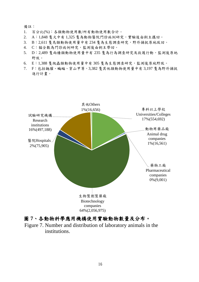#### 備註:

- 1. 百分比(%):各類動物使用數/所有動物使用數合計。
- 2. A:1,848 隻犬中有 1,325 隻為動物醫院門診病例研究,實驗後由飼主攜回。
- 3. B:2,611 隻鳥類動物使用量中有 234 隻為生態調查研究,野外捕捉原地放回。
- 4. C:貓全數為門診病例研究,監測後由飼主帶回。
- 5. D:2,489 隻兩棲類動物使用量中有 235 隻為行為調查研究及救護行動,監測後原地 野放。
- 6. E:1,388 隻爬蟲類動物使用量中有 305 隻為生態調查研究,監測後原地野放。
- 7. F:包括鼬獾、蝙蝠、穿山甲等,3,382 隻其他類動物使用量中有 3,197 隻為野外捕捉 進行計畫。



#### 圖 **7**、各動物科學應用機構使用實驗動物數量及分布。

Figure 7. Number and distribution of laboratory animals in the institutions.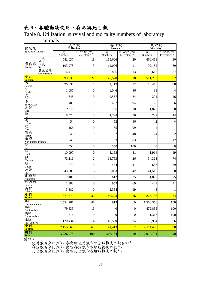# 表 **8**、各種動物使用、存活與死亡數

Table 8. Utilization, survival and mortality numbers of laboratory

| animals |  |
|---------|--|

| 動物別                                                      |                      | 使用數<br>Utilization <sup>®</sup> |                                     | 存活數<br><b>Survival</b> <sup>b</sup> |                                     | 死亡數<br>Mortality <sup>c</sup> |                                     |  |
|----------------------------------------------------------|----------------------|---------------------------------|-------------------------------------|-------------------------------------|-------------------------------------|-------------------------------|-------------------------------------|--|
| Species of animals                                       |                      | 隻<br>Numbers                    | 百分比(%)<br>Percentage <sup>a/t</sup> | 隻<br>Numbers                        | 百分比(%)<br>Percentage <sup>b/a</sup> | 隻<br>Numbers                  | 百分比(%)<br>Percentage <sup>c/a</sup> |  |
|                                                          | 小鼠<br>Mice           | 582,037                         | 18                                  | 115,626                             | 20                                  | 466,411                       | 80                                  |  |
| 囓齒類<br>Rodent                                            | 大鼠<br>Rat            | 103,278                         | 3                                   | 11,096                              | 11                                  | 92,182                        | 89                                  |  |
|                                                          | 其他鼠類<br>Other rodent | 14,418                          | $\boldsymbol{0}$                    | 1806                                | 13                                  | 12,612                        | 87                                  |  |
| 小計                                                       |                      | 699,733                         | $\overline{22}$                     | 128,528                             | 18                                  | 571,205                       | 82                                  |  |
| <mark>Subtotal</mark><br>兔                               |                      | 20,837                          | 1                                   | 2,419                               | 12                                  | 18,418                        | 88                                  |  |
| Rabbit<br>牛<br>Cattle<br>大<br>Dog <sup>A</sup><br>干<br>… |                      | 1,085                           | $\boldsymbol{0}$                    | 1,046                               | 96                                  | 39                            | 4                                   |  |
|                                                          |                      | 1,848                           | $\boldsymbol{0}$                    | 1,557                               | 84                                  | 291                           | 16                                  |  |
| Sheep/Goat                                               |                      | 485                             | $\boldsymbol{0}$                    | 457                                 | 94                                  | 28                            | 6                                   |  |
| 鳥類                                                       |                      | 2,611                           | $\boldsymbol{0}$                    | 786                                 | 30                                  | 1,825                         | 70                                  |  |
| Bird<br>豬                                                |                      | 8,520                           | $\boldsymbol{0}$                    | 4,798                               | 56                                  | 3,722                         | 44                                  |  |
| Pig<br>馬<br>Horse                                        |                      | 54                              | $\boldsymbol{0}$                    | 52                                  | 96                                  | $\overline{c}$                | $\overline{4}$                      |  |
| 鹿<br>Deer                                                |                      | 156                             | $\boldsymbol{0}$                    | 155                                 | 99                                  | 1                             | 1                                   |  |
| 雪貂<br>Ferret                                             |                      | 46                              | $\boldsymbol{0}$                    | 22                                  | 48                                  | 24                            | 52                                  |  |
| 猿猴<br>Non-human Primate                                  |                      | 40                              | $\boldsymbol{0}$                    | 33                                  | 83                                  | 7                             | 17                                  |  |
| 貓<br>Cat                                                 |                      | 550                             | $\boldsymbol{0}$                    | 550                                 | 100                                 | $\overline{0}$                | $\boldsymbol{0}$                    |  |
| 鴨<br>Duck                                                |                      | 10,097                          | $\boldsymbol{0}$                    | 8,183                               | 81                                  | 1,914                         | 19                                  |  |
| 雞<br>Chicken                                             |                      | 73,116                          | $\overline{\mathbf{c}}$             | 18,753                              | 26                                  | 54,363                        | 74                                  |  |
| 鵝<br>Goose                                               |                      | 1,070                           | $\overline{0}$                      | 434                                 | 41                                  | 636                           | 59                                  |  |
| 魚類<br>Fish                                               |                      | 243,605                         | $\sqrt{6}$                          | 102,093                             | 42                                  | 141,512                       | 58                                  |  |
| 兩棲類<br>Amphibia                                          |                      | 2,489                           | $\boldsymbol{0}$                    | 612                                 | 25                                  | 1,877                         | 75                                  |  |
| 爬蟲類<br>Reptile                                           |                      | 1,388                           | $\boldsymbol{0}$                    | 959                                 | 69                                  | 429                           | 31                                  |  |
| 其他<br>Others                                             |                      | 3,382                           | $\boldsymbol{0}$                    | 3,334                               | 99                                  | 48                            | $\mathbf{1}$                        |  |
| 小計<br><b>Subtotal</b>                                    |                      | 371,379                         | 33                                  | 146,243                             | 26                                  | 225,136                       | 74                                  |  |
| 雞胚<br>Chicken embryo                                     |                      | 1,554,281                       | 48                                  | 913                                 | $\boldsymbol{0}$                    | 1,553,368                     | 100                                 |  |
| 鴨胚<br>Duck embryo                                        |                      | 479,835                         | 15                                  | $\boldsymbol{0}$                    | $\boldsymbol{0}$                    | 479,835                       | 100                                 |  |
| 鵝胚<br>Goose embryo                                       |                      | 1,316                           | $\boldsymbol{0}$                    | $\boldsymbol{0}$                    | $\boldsymbol{0}$                    | 1,316                         | 100                                 |  |
| 魚胚<br>Fish embryo                                        |                      | 120,434                         | 4                                   | 40,500                              | 34                                  | 79,934                        | 66                                  |  |
| 小計<br><b>Subtotal</b>                                    |                      | 2,155,866                       | 67                                  | 41,413                              | $\overline{2}$                      | 2,114,453                     | 98                                  |  |
| 總計<br><b>Total</b>                                       |                      | 3,226,978                       | 100                                 | 316,184                             | 10                                  | 2,910,794                     | 90                                  |  |

備註:

使用數百分比(%):各動物使用數 3/所有動物使用數合計<sup>t。</sup>

存活數百分比(%):動物存活數 <sup>b</sup>/該類動物使用數<sup>a。</sup>

死亡數百分比(%):動物死亡數 的該類動物使用數 a。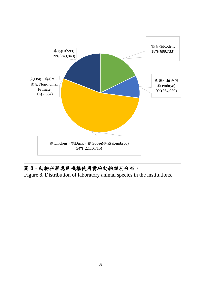

# 圖 **8**、動物科學應用機構使用實驗動物類別分布。

Figure 8. Distribution of laboratory animal species in the institutions.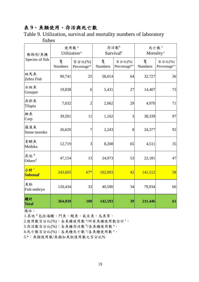# 表 **9**、魚類使用、存活與死亡數

Table 9. Utilization, survival and mortality numbers of laboratory fishes

| 動物別/魚種                       |                     | 使用數 <sup>。</sup><br>Utilization <sup>a</sup> |              | 存活數 <sup>b</sup><br>Survival <sup>b</sup> | 死亡數 <sup>。</sup><br>Mortality <sup>c</sup> |                                     |  |
|------------------------------|---------------------|----------------------------------------------|--------------|-------------------------------------------|--------------------------------------------|-------------------------------------|--|
| Species of fish              | 隻<br><b>Numbers</b> | 百分比(%)<br>Percentage <sup>a/t</sup>          | 隻<br>Numbers | 百分比(%)<br>Percentage <sup>b/a</sup>       | 隻<br><b>Numbers</b>                        | 百分比(%)<br>Percentage <sup>c/a</sup> |  |
| 斑馬魚<br>Zebra Fish            | 90,741              | 25                                           | 58,014       | 64                                        | 32,727                                     | 36                                  |  |
| 石斑魚<br>Grouper               | 19,838              | 6                                            | 5,431        | 27                                        | 14,407                                     | 73                                  |  |
| 吳郭魚<br>Tilapia               | 7,032               | $\overline{2}$                               | 2,062        | 29                                        | 4,970                                      | 71                                  |  |
| 鯉魚<br>Carp                   | 39,501              | 11                                           | 1,162        | 3                                         | 38,339                                     | 97                                  |  |
| 羅漢魚<br>Stone moroko          | 26,620              | 7                                            | 2,243        | 8                                         | 24,377                                     | 92                                  |  |
| 青鱂魚<br>Medaka                | 12,719              |                                              | 8,208        | 65                                        | 4,511                                      | 35                                  |  |
| 其他d<br>Others <sup>d</sup>   | 47,154              | 13                                           | 24,973       | 53                                        | 22,181                                     | 47                                  |  |
| 小計!<br>Subtotal <sup>t</sup> | 243,605             |                                              | 102,093      | 42                                        | 141,512                                    | 58                                  |  |
| 魚胚<br>Fish embryo            | 120,434             | 33                                           | 40,500       | 34                                        | 79,934                                     | 66                                  |  |
| 總計<br><b>Total</b>           | 364,039             | <b>100</b>                                   | 142,593      | 39                                        | 211,446                                    | 61                                  |  |

備註:

1.其他<sup>d</sup>包括海鱺、鬥魚、鰻魚、虱目魚、烏魚等。

2.使用數百分比(%):各魚種使用數 <sup>a</sup>/所有魚種使用數合計<sup>t。</sup>

3.存活數百分比(%):各魚種存活數 <sup>b</sup>/各魚種使用數 <sup>a</sup>。

4.死亡數百分比(%):各魚種死亡數 5/各魚種使用數 a。

5.\*:魚類使用數/魚類加魚胚使用數之百分比%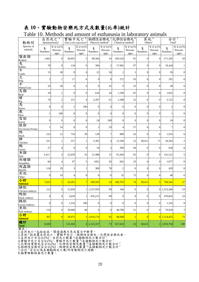# 表 **10**、實驗動物安樂死方式及數量**(**比率**)**統計

| Table 10. Methods and amount of euthanasia in laboratory animals |  |  |
|------------------------------------------------------------------|--|--|
|------------------------------------------------------------------|--|--|

| 動物別                     | Spontaneously <sup>a</sup> | 自然死亡 <sup>a</sup>          |                     | 實驗中死亡 <sup>b</sup><br>Died in the experiment <sup>b</sup> | Physical method <sup>c</sup> | 物理性安樂死。化學性安樂死。             | Chemical method <sup>d</sup> |                            | ັ∸ <i>J</i><br>Others <sup>e</sup> | "<br>其他 <sup>e</sup>       | Totalf                    | 合計!                        |
|-------------------------|----------------------------|----------------------------|---------------------|-----------------------------------------------------------|------------------------------|----------------------------|------------------------------|----------------------------|------------------------------------|----------------------------|---------------------------|----------------------------|
| Species of<br>animals   | 隻<br>Numbers               | 百分比(%)<br>Percent-<br>ages | 隻<br><b>Numbers</b> | 百分比(%)<br>Percent-<br>ages                                | 隻<br>Numbers.                | 百分比(%)<br>Percent-<br>ages | 隻<br>Numbers                 | 百分比(%)<br>Percent-<br>ages | 隻<br>Numbers.                      | 百分比(%)<br>Percent-<br>ages | 隻<br>Numbers.             | 百分比(%)<br>Percent-<br>ages |
| 囓齒類<br>Rodent           | 1,062                      | $\overline{0}$             | 30,053              | 5                                                         | 80,564                       | 14                         | 459,526                      | 81                         | $\overline{0}$                     | $\overline{0}$             | 571,205                   | 20                         |
| 兔<br>Rabbit             | 78                         | $\overline{0}$             | 134                 | $\boldsymbol{0}$                                          | 304                          | $\overline{2}$             | 17,902                       | 97                         | $\overline{0}$                     | $\overline{0}$             | 18,418                    |                            |
| 牛<br>Cattle             | 15                         | 38                         | $\overline{0}$      | $\boldsymbol{0}$                                          | 22                           | 56                         | $\overline{2}$               | 5                          | $\overline{0}$                     | $\overline{0}$             | 39                        | $\overline{0}$             |
| 犬                       | $\overline{c}$             | $\mathbf{1}$               | 17                  | 6                                                         | $\overline{0}$               | $\theta$                   | 272                          | 93                         | $\overline{0}$                     | $\overline{0}$             | 291                       | $\Omega$                   |
| Dog<br>羊<br>Sheep/Goat  | 10                         | 36                         | $\overline{0}$      | $\boldsymbol{0}$                                          | 9                            | 32                         | 9                            | 32                         | $\boldsymbol{0}$                   | $\overline{0}$             | 28                        | $\overline{0}$             |
| 鳥類<br>Bird              | 18                         | $\mathbf{1}$               | $\overline{0}$      | $\boldsymbol{0}$                                          | 618                          | 34                         | 1,189                        | 65                         | $\mathbf{0}$                       | $\overline{0}$             | 1,825                     | $\overline{0}$             |
| 豬                       | 76                         | $\mathbf{2}$               | 151                 | $\overline{\mathbf{4}}$                                   | 2,287                        | 61                         | 1,208                        | 32                         | $\boldsymbol{0}$                   | $\mathbf{0}$               | 3,722                     | $\overline{0}$             |
| Pig<br>馬<br>Horse       | $\mathbf{0}$               | $\mathbf{0}$               | $\mathbf{2}$        | 100                                                       | $\overline{0}$               | $\overline{0}$             | $\mathbf{0}$                 | $\boldsymbol{0}$           | $\overline{0}$                     | $\overline{0}$             | $\boldsymbol{2}$          | $\mathbf{0}$               |
| 鹿<br>Deer               | 1                          | 100                        | $\overline{0}$      | $\boldsymbol{0}$                                          | $\overline{0}$               | $\overline{0}$             | $\mathbf{0}$                 | $\boldsymbol{0}$           | $\overline{0}$                     | $\overline{0}$             | 1                         | $\mathbf{0}$               |
| 雪貂<br>Ferret            | $\overline{0}$             | $\mathbf{0}$               | $\theta$            | $\boldsymbol{0}$                                          | 24                           | 100                        | $\mathbf{0}$                 | $\overline{0}$             | $\overline{0}$                     | $\overline{0}$             | 24                        | $\overline{0}$             |
| 猿猴<br>Non-human Primate | 1                          | 14                         | $\overline{0}$      | $\boldsymbol{0}$                                          | $\overline{c}$               | 29                         | $\overline{\mathcal{A}}$     | 57                         | $\overline{0}$                     | $\overline{0}$             | $\tau$                    | $\mathbf{0}$               |
| 鴨<br>Duck               | 232                        | 12                         | 754                 | 39                                                        | 128                          | $\overline{7}$             | 800                          | 42                         | $\overline{0}$                     | $\overline{0}$             | 1,914                     | $\overline{0}$             |
| 雞<br>Chicken            | 521                        | $\mathbf{1}$               | 517                 | $\mathbf{1}$                                              | 2,365                        | 4                          | 12,549                       | 23                         | 38,411                             | 71                         | 54,363                    | 2                          |
| 鵝<br>Goose              | 27                         | 4                          | $\overline{0}$      | $\boldsymbol{0}$                                          | 10                           | $\overline{2}$             | 599                          | 94                         | $\boldsymbol{0}$                   | $\mathbf{0}$               | 636                       | $\overline{0}$             |
| 魚類<br>Fish              | 5,411                      | $\overline{4}$             | 22,659              | 16                                                        | 21,498                       | 15                         | 91,944                       | 65                         | $\overline{0}$                     | $\overline{0}$             | 141,512                   | 5                          |
| 兩棲類<br>Amphibia         | 66                         | 4                          | 97                  | 5                                                         | 1052                         | 56                         | 662                          | 35                         | $\overline{0}$                     | $\overline{0}$             | 1,877                     | $\Omega$                   |
| 爬蟲類<br>Reptile<br>其他    | 124                        | 29                         | 3                   | $\mathbf{1}$                                              | 300                          | 70                         | $\overline{2}$               | $\overline{0}$             | $\overline{0}$                     | $\overline{0}$             | 429                       | $\overline{0}$             |
| Other                   | 9                          | 19                         | 4                   | $\,$ 8 $\,$                                               | $\mathbf{0}$                 | $\overline{0}$             | 35                           | 73                         | $\boldsymbol{0}$                   | $\overline{0}$             | 48                        | $\overline{0}$             |
| 小計<br>Subtotal          | 7,653                      | $\mathbf{1}$               | 54,391              | $\overline{7}$                                            | 109,183                      | 14                         | 586,703                      | 74                         | 38,411                             | 5 <sub>5</sub>             | 796,341                   | 27                         |
| 雞胚<br>Chicken embryo    | 213                        | $\overline{0}$             | 15,036              | 1 <sup>1</sup>                                            | 1,537,959                    | 99                         | 160                          | $\boldsymbol{0}$           | $\boldsymbol{0}$                   |                            | 0 1,553,368               | 53                         |
| 鴨胚<br>Duck embryo       | $\boldsymbol{0}$           | $\overline{0}$             | 3,620               | $\mathbf{1}$                                              | 476,215                      | 99                         | $\mathbf{0}$                 | $\overline{0}$             | $\boldsymbol{0}$                   | $\mathbf{0}$               | 479,835                   | 16                         |
| 鵝胚<br>Goose embryo      | $\boldsymbol{0}$           | $\overline{0}$             | 1,316               | 100                                                       | $\mathbf{0}$                 | $\mathbf{0}$               | $\mathbf{0}$                 | $\overline{0}$             | $\boldsymbol{0}$                   | $\overline{0}$             | 1,316                     | $\overline{0}$             |
| 魚胚<br>Fish embryo       | 154                        | $\mathbf{0}$               | 39,000              | 49                                                        | $\boldsymbol{0}$             | $\mathbf{0}$               | 40,780                       | 51                         | $\boldsymbol{0}$                   | $\overline{0}$             | 79,934                    | $\mathfrak{Z}$             |
| 小計<br><b>Subtotal</b>   | 367                        | $\overline{0}$             | 58,972              |                                                           | 3 2,014,174                  | 95                         | 40,940                       | $\overline{2}$             | $\overline{0}$                     |                            | $0 \overline{)2,114,453}$ | 73                         |
| 總計<br><b>Total</b>      | 8,020                      |                            | 113,363             |                                                           | $4$ 2,123,357                | 73                         | 627,643                      | 22                         | 38,411                             |                            | 2,910,794                 | 100                        |

備註:

1.自然死亡 <sup>a</sup> 包括疾病、環境適應不良或電力中斷等。

2.其他 <sup>b</sup>指非屬自然死亡、實驗中死亡、物理性安樂死、化學性安樂死者。

3.自然死亡百分比(%):自然死亡數量 以各類動物死亡數合計

4.實驗中死亡百分比(%):實驗中死亡數量 3各類動物死亡數合計

5.化學性案樂死百分比(%):化學性安樂死數量 %各類動物死亡數合計!

6.物理性安樂死百分比(%): 物理性安樂死數量 9各類動物死亡數合計 f

7.合計 <sup>c</sup>百分比為各類動物死亡數/所有動物死亡總數。

8.貓實驗動物無死亡數量。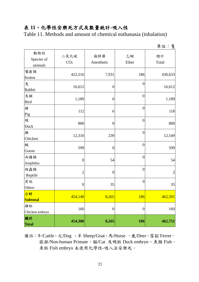#### 表 **11**、化學性安樂死方式及數量統計**-**吸入性

Table 11. Methods and amount of chemical euthanasia (inhalation)

|                              |                         |                   |                  | 単位・受           |
|------------------------------|-------------------------|-------------------|------------------|----------------|
| 動物別<br>Species of<br>animals | 二氧化碳<br>CO <sub>2</sub> | 麻醉藥<br>Anesthetic | 乙醚<br>Ether      | 總計<br>Total    |
| 囓齒類<br>Rodent                | 422,516                 | 7,931             | 186              | 430,633        |
| 兔<br>Rabbit                  | 16,612                  | $\boldsymbol{0}$  | $\boldsymbol{0}$ | 16,612         |
| 鳥類<br><b>Bird</b>            | 1,189                   | $\boldsymbol{0}$  | $\boldsymbol{0}$ | 1,189          |
| 豬<br>Pig                     | 112                     | 6                 | $\boldsymbol{0}$ | 118            |
| 鴨<br>Duck                    | 800                     | $\boldsymbol{0}$  | $\boldsymbol{0}$ | 800            |
| 雞<br>Chicken                 | 12,310                  | 239               | $\boldsymbol{0}$ | 12,549         |
| 鵝<br>Goose                   | 599                     | $\boldsymbol{0}$  | $\overline{0}$   | 599            |
| 兩棲類<br>Amphibia              | $\boldsymbol{0}$        | 54                | $\overline{0}$   | 54             |
| 爬蟲類<br>Reptile               | $\overline{2}$          | $\boldsymbol{0}$  | $\boldsymbol{0}$ | $\overline{2}$ |
| 其他<br>Others                 | $\boldsymbol{0}$        | 35                | $\boldsymbol{0}$ | 35             |
| 小計<br><b>Subtotal</b>        | 454,140                 | 8,265             | <b>186</b>       | 462,591        |
| 雞胚<br>Chicken embryo         | 160                     | $\boldsymbol{0}$  | $\boldsymbol{0}$ | 160            |
| 總計<br><b>Total</b>           | 454,300                 | 8,265             | 186              | 462,751        |

備註:牛/Cattle、犬/Dog 、羊 Sheep/Goat、馬/Horse 、鹿/Deer、雪貂 Ferret、 猿猴/Non-human Primate、貓/Cat 及鴨胚 Duck embryo、魚類 Fish、 魚胚 Fish embryo 未使用化學性-吸入法安樂死。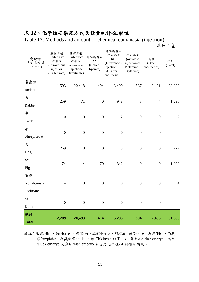# 表 **12**、化學性安樂死方式及數量統計**-**注射性

Table 12. Methods and amount of chemical euthanasia (injection)

單位:隻

| 動物別<br>Species of<br>animals | 靜脈注射<br>Barbiturate<br>注射液<br>(Intravenous<br>injection<br>/Barbiturate) | 腹腔注射<br><b>Barbiturate</b><br>注射液<br>(Intraperitoneal<br>injection/<br>Barbiturate) | 麻醉後靜脈<br>注射<br>(Chloral<br>hydrate) | 麻醉後靜脈<br>注射過量<br>KC1<br>(Intravenous<br>injection<br>KCl after<br>anesthesia) | 注射過量<br>(overdose<br>injection of<br>Ketamine+<br>Xylazine) | 其他<br>(Other<br>anesthetics) | 總計<br>(Total)    |
|------------------------------|--------------------------------------------------------------------------|-------------------------------------------------------------------------------------|-------------------------------------|-------------------------------------------------------------------------------|-------------------------------------------------------------|------------------------------|------------------|
| 囓齒類<br>Rodent                | 1,503                                                                    | 20,418                                                                              | 404                                 | 3,490                                                                         | 587                                                         | 2,491                        | 28,893           |
| 兔<br>Rabbit                  | 259                                                                      | 71                                                                                  | $\boldsymbol{0}$                    | 948                                                                           | 8                                                           | 4                            | 1,290            |
| 牛<br>Cattle                  | $\boldsymbol{0}$                                                         | $\boldsymbol{0}$                                                                    | $\boldsymbol{0}$                    | $\overline{c}$                                                                | $\boldsymbol{0}$                                            | $\boldsymbol{0}$             | $\mathbf{2}$     |
| 羊<br>Sheep/Goat              | $\overline{0}$                                                           | $\boldsymbol{0}$                                                                    | $\boldsymbol{0}$                    | $\boldsymbol{0}$                                                              | 9                                                           | $\boldsymbol{0}$             | 9                |
| 犬<br>Dog                     | 269                                                                      | $\boldsymbol{0}$                                                                    | $\boldsymbol{0}$                    | 3                                                                             | $\overline{0}$                                              | $\boldsymbol{0}$             | 272              |
| 豬<br>Pig                     | 174                                                                      | $\overline{4}$                                                                      | 70                                  | 842                                                                           | $\boldsymbol{0}$                                            | $\boldsymbol{0}$             | 1,090            |
| 猿猴<br>Non-human<br>primate   | $\overline{4}$                                                           | $\boldsymbol{0}$                                                                    | $\boldsymbol{0}$                    | $\boldsymbol{0}$                                                              | $\boldsymbol{0}$                                            | $\boldsymbol{0}$             | $\overline{4}$   |
| 鴨<br>Duck                    | $\boldsymbol{0}$                                                         | $\boldsymbol{0}$                                                                    | $\boldsymbol{0}$                    | $\boldsymbol{0}$                                                              | $\boldsymbol{0}$                                            | $\boldsymbol{0}$             | $\boldsymbol{0}$ |
| 總計<br><b>Total</b>           | 2,209                                                                    | 20,493                                                                              | 474                                 | 5,285                                                                         | 604                                                         | 2,495                        | 31,560           |

備註:鳥類/Bird、馬/Horse 、鹿/Deer、雪貂/Ferret、貓/Cat、鵝/Goose、魚類/Fish、兩棲 類/Amphibia、爬蟲類/Reptile 、雞/Chicken、鴨/Duck、雞胚/Chicken embryo、鴨胚 /Duck embryo 及魚胚/Fish embryo 未使用化學性-注射性安樂死。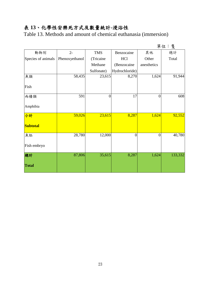# 表 **13**、化學性安樂死方式及數量統計**-**浸浴性

Table 13. Methods and amount of chemical euthanasia (immersion)

|                    |                |            |                |                | 單位:隻    |
|--------------------|----------------|------------|----------------|----------------|---------|
| 動物別                | $2-$           | <b>TMS</b> | Benzocaine     | 其他             | 總計      |
| Species of animals | Phenoxyethanol | (Tricaine  | HCl            | Other          | Total   |
|                    |                | Methane    | (Benzocaine    | anesthetics    |         |
|                    |                | Sulfonate) | Hydrochloride) |                |         |
| 魚類                 | 58,435         | 23,615     | 8,270          | 1,624          | 91,944  |
| Fish               |                |            |                |                |         |
| 兩棲類                | 591            | $\theta$   | 17             | $\theta$       | 608     |
| Amphibia           |                |            |                |                |         |
| 小計                 | 59,026         | 23,615     | 8,287          | 1,624          | 92,552  |
| <b>Subtotal</b>    |                |            |                |                |         |
| 魚胚                 | 28,780         | 12,000     | $\overline{0}$ | $\overline{0}$ | 40,780  |
| Fish embryo        |                |            |                |                |         |
| 總計                 | 87,806         | 35,615     | 8,287          | 1,624          | 133,332 |
| <b>Total</b>       |                |            |                |                |         |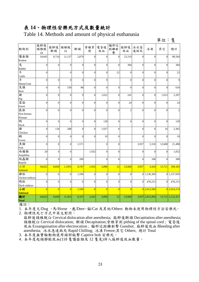# 表 **14**、物理性安樂死方式及數量統計

Table 14. Methods and amount of physical euthanasia

單位:隻

| 動物別            | 麻醉後<br>頸椎脫<br>臼  | 麻醉後<br>斷頭        | 頸椎脫<br>臼         | 斷頭             | 脊椎穿<br>刺       | 電昏後<br>放血      | 腦部近<br>距離射<br>擊  | 麻醉後<br>放血        | 冰水急<br>速致死       | 冰凍              | 其它               | 總計               |
|----------------|------------------|------------------|------------------|----------------|----------------|----------------|------------------|------------------|------------------|-----------------|------------------|------------------|
| 囓齒類<br>Rodent  | 34,605           | 8,724            | 11,137           | 2,879          | $\overline{0}$ | $\overline{0}$ | $\mathbf{0}$     | 23,219           | $\overline{0}$   | $\Omega$        | $\overline{0}$   | 80,564           |
| 兔              | $\boldsymbol{0}$ | $\overline{0}$   | $\boldsymbol{0}$ | $\Omega$       | $\overline{0}$ | $\theta$       | $\boldsymbol{0}$ | 304              | $\boldsymbol{0}$ | $\Omega$        | $\overline{0}$   | 304              |
| Rabbit         |                  |                  |                  |                |                |                |                  |                  |                  |                 |                  |                  |
| 牛              | $\overline{0}$   |                  | $\overline{0}$   | $\Omega$       | $\overline{0}$ | $\theta$       | 22               | $\overline{0}$   | $\boldsymbol{0}$ | $\theta$        | $\overline{0}$   | 22               |
| Cattle         |                  |                  |                  |                |                |                |                  |                  |                  |                 |                  |                  |
| 羊              | $\overline{0}$   | $\overline{0}$   | $\overline{0}$   | $\theta$       | $\overline{0}$ | 9              |                  | $\boldsymbol{0}$ | $\boldsymbol{0}$ | $\theta$        | $\overline{0}$   | 9                |
| Sheep/Goat     |                  |                  |                  |                |                |                |                  |                  |                  |                 |                  |                  |
| 鳥類             | $\mathbf{0}$     | $\overline{0}$   | 530              | 88             | $\overline{0}$ | $\theta$       | $\boldsymbol{0}$ | $\overline{0}$   | $\boldsymbol{0}$ | $\theta$        | $\overline{0}$   | 618              |
| Bird           |                  |                  |                  |                |                |                |                  |                  |                  |                 |                  |                  |
| 豬              | $\overline{0}$   | $\theta$         | $\boldsymbol{0}$ | 9              | $\overline{0}$ | 1,022          | $\boldsymbol{0}$ | 241              | $\overline{0}$   | $\theta$        | 1,015            | 2,287            |
| Pig            |                  |                  |                  |                |                |                |                  |                  |                  |                 |                  |                  |
| 雪貂             | $\boldsymbol{0}$ | $\mathbf{0}$     | $\boldsymbol{0}$ | $\overline{0}$ | $\overline{0}$ | $\overline{0}$ | $\boldsymbol{0}$ | 24               | $\boldsymbol{0}$ | $\theta$        | $\boldsymbol{0}$ | 24               |
| Ferret         |                  |                  |                  |                |                |                |                  |                  |                  |                 |                  |                  |
| 猿猴             | $\overline{0}$   | $\overline{0}$   | $\overline{0}$   | $\Omega$       | $\theta$       | $\theta$       | $\boldsymbol{0}$ | $\overline{c}$   | $\overline{0}$   | $\Omega$        | $\theta$         | $\overline{c}$   |
| Non-human      |                  |                  |                  |                |                |                |                  |                  |                  |                 |                  |                  |
| Primate        |                  |                  |                  |                |                |                |                  |                  |                  |                 |                  |                  |
| 鴨              | $\overline{0}$   | $\Omega$         | $\overline{0}$   | $\Omega$       | $\theta$       | 128            | $\boldsymbol{0}$ | $\overline{0}$   | $\overline{0}$   | $\theta$        | $\theta$         | 128              |
| Duck           |                  |                  |                  |                |                |                |                  |                  |                  |                 |                  |                  |
| 雞              | $\boldsymbol{0}$ | 134              | 288              | $\Omega$       | $\overline{0}$ | 1,927          | $\boldsymbol{0}$ |                  | $\boldsymbol{0}$ | $\theta$        | 16               | 2,365            |
| Chicken        |                  |                  |                  |                |                |                |                  |                  |                  |                 |                  |                  |
| 鵣              | $\overline{0}$   | $\overline{0}$   | $\boldsymbol{0}$ | $\Omega$       | $\overline{0}$ | 10             | $\boldsymbol{0}$ |                  | $\boldsymbol{0}$ | $\Omega$        | $\overline{0}$   | 10               |
| Goose          |                  |                  |                  |                |                |                |                  |                  |                  |                 |                  |                  |
| 魚類             | $\boldsymbol{0}$ | $\boldsymbol{0}$ | $\boldsymbol{0}$ | 1,571          |                | $\theta$       | $\boldsymbol{0}$ |                  | 3,937            | 3,310           | 12,680           | 21,498           |
| Fish           |                  |                  |                  |                |                |                |                  |                  |                  |                 |                  |                  |
| 兩棲類            | 20               | $\mathbf{0}$     | $\boldsymbol{0}$ |                | 1,032          | $\overline{0}$ | $\boldsymbol{0}$ |                  | $\overline{0}$   | $\Omega$        | $\overline{0}$   | 1,052            |
| Amphibia       |                  |                  |                  |                |                |                |                  |                  |                  |                 |                  |                  |
| 爬蟲類            | $\overline{0}$   | $\theta$         | $\overline{0}$   | 200            |                | $\theta$       | $\boldsymbol{0}$ |                  | $\overline{0}$   | 100             | $\theta$         | 300              |
| Reptile        |                  |                  |                  |                |                |                |                  |                  |                  |                 |                  |                  |
| 小計             | 34,625           | 8,858            | 1,1955           | 4,747          | 1,032          | 3,096          | 22               | 23,660           | 3,937            | 3,410           | 13,711           | 109,183          |
| Subtotal       |                  |                  |                  |                |                |                |                  |                  |                  |                 |                  |                  |
| 雞胚             | $\overline{0}$   | $\overline{0}$   | $\mathbf{0}$     | 1,590          | $\overline{0}$ | $\overline{0}$ | $\boldsymbol{0}$ | $\overline{0}$   |                  | 0 1,536,369     |                  | 0 1,537,959      |
| Chicken embryo |                  |                  |                  |                |                |                |                  |                  |                  |                 |                  |                  |
| 鴨胚             | $\theta$         | $\theta$         | $\mathbf 0$      | $\Omega$       | $\theta$       | $\theta$       | $\boldsymbol{0}$ | $\overline{0}$   | $\Omega$         | 476,215         | $\theta$         | 476,215          |
| Duck embryo    |                  |                  |                  |                |                |                |                  |                  |                  |                 |                  |                  |
| 小計             | $\overline{0}$   | $\overline{0}$   | $\overline{0}$   | 1,590          | $\overline{0}$ | $\overline{0}$ | $\overline{0}$   | $\overline{0}$   |                  | $0$ 2,012,584   |                  | 0 2,014,174      |
| Subtotal       |                  |                  |                  |                |                |                |                  |                  |                  |                 |                  |                  |
| 總計             | 34,625           | 8,858            | 11,955           | 6,337          | 1,032          | 3,096          | 22               | 23,660           |                  | 3,937 2,015,994 |                  | 13,711 2,123,357 |
| <b>Total</b>   |                  |                  |                  |                |                |                |                  |                  |                  |                 |                  |                  |

備註:

1. 本年度犬/Dog 、馬/Horse 、鹿/Deer、貓/Cat 及其他/Others 動物未使用物理性方法安樂死。 2. 物理性死亡方式中英文對照:

麻醉後頸椎脫臼 Cervical dislocation after anesthesia; 麻醉後斷頭 Decapitation after anesthesia; 頸椎脫臼 Cervical dislocation; 斷頭 Decapitation;脊椎穿刺 pithing of the spinal cord ; 電昏後 放血 Exsanguination after electrocution ; 腦部近距離射擊 Gunshot; 麻醉後放血 Bleeding after anesthesia; 冰水急速致死 Rapid Chilling; 冰凍 Freeze;其它 Others; 總計 Total

3. 本年度無實驗動物使用頭部敲擊 Captive bolt 安樂死。

4. 本年度起頸靜脈放血(118 隻囓齒類及 12 隻兔)併入麻醉後放血數量。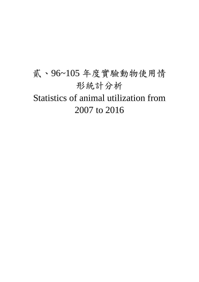# 貳、96~105 年度實驗動物使用情 形統計分析 Statistics of animal utilization from 2007 to 2016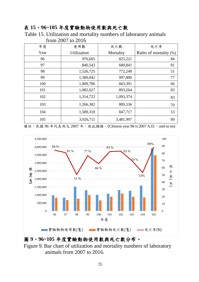#### 表 **15**、**96~105** 年度實驗動物使用數與死亡數

Table 15. Utilization and mortality numbers of laboratory animals from 2007 to 2016

| 年度   | 使用數         | 死亡數       | 死亡率                    |
|------|-------------|-----------|------------------------|
| Year | Utilization | Mortality | Ratio of mortality (%) |
| 96   | 976,605     | 825,221   | 84                     |
| 97   | 840,543     | 680,841   | 81                     |
| 98   | 1,526,725   | 772,248   | 51                     |
| 99   | 1,300,042   | 997,800   | 77                     |
| 100  | 1,009,786   | 663,391   | 66                     |
| 101  | 1,082,627   | 893,264   | 83                     |
| 102  | 1,314,723   | 1,093,374 | 83                     |
| 103  | 1,266,382   | 889,536   | 70                     |
| 104  | 1,589,310   | 847,717   | 53                     |
| 105  | 3,926,711   | 3,481,997 | 89                     |

備註: 民國 96年代表西元 2007年, 依此類推。(Chinese year 96 is 2007 A.D., and so on)



圖 **9**、**96~105** 年度實驗動物使用數與死亡數分布。

Figure 9. Bar chart of utilization and mortality numbers of laboratory animals from 2007 to 2016.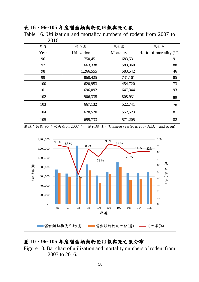# 表 **16**、**96~105** 年度囓齒類動物使用數與死亡數

Table 16. Utilization and mortality numbers of rodent from 2007 to 2016

| 年度   | 使用數         | 死亡數       | 死亡率                       |
|------|-------------|-----------|---------------------------|
| Year | Utilization | Mortality | Ratio of mortality $(\%)$ |
| 96   | 750,451     | 683,531   | 91                        |
| 97   | 663,338     | 583,360   | 88                        |
| 98   | 1,266,555   | 583,542   | 46                        |
| 99   | 860,425     | 731,161   | 85                        |
| 100  | 620,953     | 454,720   | 73                        |
| 101  | 696,092     | 647,344   | 93                        |
| 102  | 906,335     | 808,931   | 89                        |
| 103  | 667,132     | 522,741   | 78                        |
| 104  | 678,520     | 552,523   | 81                        |
| 105  | 699,733     | 571,205   | 82                        |

備註: 民國 96年代表西元 2007年, 依此類推。(Chinese year 96 is 2007 A.D., and so on)



# 圖 **10**、**96~105** 年度囓齒類動物使用數與死亡數分布

Figure 10. Bar chart of utilization and mortality numbers of rodent from 2007 to 2016.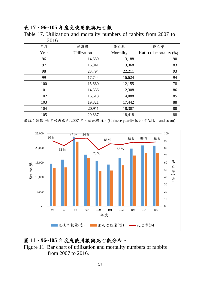#### 表 **17**、**96~105** 年度兔使用數與死亡數

Table 17. Utilization and mortality numbers of rabbits from 2007 to 2016

| 年度   | 使用數                | 死亡數       | 死亡率                    |
|------|--------------------|-----------|------------------------|
| Year | <b>Utilization</b> | Mortality | Ratio of mortality (%) |
| 96   | 14,659             | 13,188    | 90                     |
| 97   | 16,041             | 13,368    | 83                     |
| 98   | 23,794             | 22,211    | 93                     |
| 99   | 17,744             | 16,624    | 94                     |
| 100  | 15,660             | 12,155    | 78                     |
| 101  | 14,335             | 12,308    | 86                     |
| 102  | 16,613             | 14,088    | 85                     |
| 103  | 19,821             | 17,442    | 88                     |
| 104  | 20,911             | 18,307    | 88                     |
| 105  | 20,837             | 18,418    | 88                     |

備註: 民國 96年代表西元 2007年, 依此類推。(Chinese year 96 is 2007 A.D., and so on)



#### 圖 **11**、**96~105** 年度兔使用數與死亡數分布。

Figure 11. Bar chart of utilization and mortality numbers of rabbits from 2007 to 2016.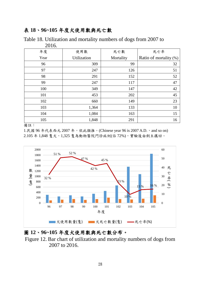#### 表 **18**、**96~105** 年度犬使用數與死亡數

| 2010 |                    |           |                        |  |
|------|--------------------|-----------|------------------------|--|
| 年度   | 使用數                | 死亡數       | 死亡率                    |  |
| Year | <b>Utilization</b> | Mortality | Ratio of mortality (%) |  |
| 96   | 309                | 99        | 32                     |  |
| 97   | 247                | 126       | 51                     |  |
| 98   | 291                | 152       | 52                     |  |
| 99   | 247                | 117       | 47                     |  |
| 100  | 349                | 147       | 42                     |  |
| 101  | 453                | 202       | 45                     |  |
| 102  | 660                | 149       | 23                     |  |
| 103  | 1,364              | 133       | 10                     |  |
| 104  | 1,084              | 163       | 15                     |  |
| 105  | 1,848              | 291       | 16                     |  |

Table 18. Utilization and mortality numbers of dogs from 2007 to 2016.

備註:

1.民國 96年代表西元 2007年, 依此類推。(Chinese year 96 is 2007 A.D., and so on) 2.105 年 1,848 隻犬,1,325 隻為動物醫院門診病例(佔 72%),實驗後由飼主攜回。



#### 圖 **12**、**96~105** 年度犬使用數與死亡數分布。

Figure 12. Bar chart of utilization and mortality numbers of dogs from 2007 to 2016.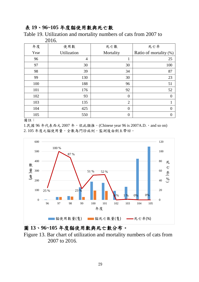#### 表 **19**、**96~105** 年度貓使用數與死亡數

Table 19. Utilization and mortality numbers of cats from 2007 to 2016.

|      | 2010.          |                  |                        |
|------|----------------|------------------|------------------------|
| 年度   | 使用數            | 死亡數              | 死亡率                    |
| Year | Utilization    | Mortality        | Ratio of mortality (%) |
| 96   | $\overline{4}$ | $\mathbf{1}$     | 25                     |
| 97   | 30             | 30               | 100                    |
| 98   | 39             | 34               | 87                     |
| 99   | 130            | 30               | 23                     |
| 100  | 188            | 96               | 51                     |
| 101  | 176            | 92               | 52                     |
| 102  | 93             | $\boldsymbol{0}$ | $\overline{0}$         |
| 103  | 135            | $\overline{2}$   | 1                      |
| 104  | 425            | $\overline{0}$   | $\overline{0}$         |
| 105  | 550            | $\overline{0}$   | $\overline{0}$         |

備註:

1.民國 96年代表西元 2007年, 依此類推。(Chinese year 96 is 2007A.D., and so on) 2. 105 年度之貓使用量,全數為門診病例,監測後由飼主帶回。





Figure 13. Bar chart of utilization and mortality numbers of cats from 2007 to 2016.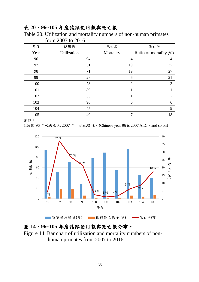#### 表 **20**、**96~105** 年度猿猴使用數與死亡數

Table 20. Utilization and mortality numbers of non-human primates from 2007 to 2016

| 年度   | 使用數         | 死亡數            | 死亡率                       |
|------|-------------|----------------|---------------------------|
| Year | Utilization | Mortality      | Ratio of mortality $(\%)$ |
| 96   | 94          | 4              | 4                         |
| 97   | 51          | 19             | 37                        |
| 98   | 71          | 19             | 27                        |
| 99   | 28          | 6              | 21                        |
| 100  | 78          | $\overline{2}$ | 3                         |
| 101  | 89          |                |                           |
| 102  | 55          |                | $\overline{2}$            |
| 103  | 96          | 6              | 6                         |
| 104  | 45          | 4              | 9                         |
| 105  | 40          | 7              | 18                        |

備註:

1.民國 96年代表西元 2007年, 依此類推。(Chinese year 96 is 2007 A.D., and so on)



# 圖 **14**、**96~105** 年度猿猴使用數與死亡數分布。

Figure 14. Bar chart of utilization and mortality numbers of nonhuman primates from 2007 to 2016.